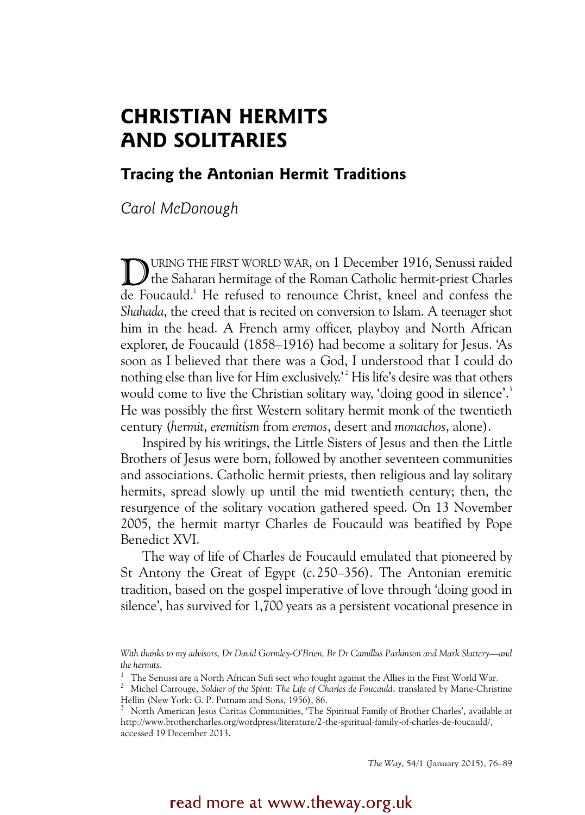# **CHRISTIAN HERMITS AND SOLITARIES**

# **Tracing the Antonian Hermit Traditions**

*Carol McDonough*

URING THE FIRST WORLD WAR, on 1 December 1916, Senussi raided URING THE FIRST WORLD WAR, on 1 December 1916, Senussi raided<br>the Saharan hermitage of the Roman Catholic hermit-priest Charles de Foucauld.<sup>1</sup> He refused to renounce Christ, kneel and confess the *Shahada*, the creed that is recited on conversion to Islam. A teenager shot him in the head. A French army officer, playboy and North African explorer, de Foucauld (1858–1916) had become a solitary for Jesus. 'As soon as I believed that there was a God, I understood that I could do nothing else than live for Him exclusively.'<sup>2</sup> His life's desire was that others would come to live the Christian solitary way, 'doing good in silence'.<sup>3</sup> He was possibly the first Western solitary hermit monk of the twentieth century (*hermit*, *eremitism* from *eremos*, desert and *monachos*, alone).

Inspired by his writings, the Little Sisters of Jesus and then the Little Brothers of Jesus were born, followed by another seventeen communities and associations. Catholic hermit priests, then religious and lay solitary hermits, spread slowly up until the mid twentieth century; then, the resurgence of the solitary vocation gathered speed. On 13 November 2005, the hermit martyr Charles de Foucauld was beatified by Pope Benedict XVI.

The way of life of Charles de Foucauld emulated that pioneered by St Antony the Great of Egypt (*c*.250–356). The Antonian eremitic tradition, based on the gospel imperative of love through 'doing good in silence', has survived for 1,700 years as a persistent vocational presence in

*The Way*, 54/1 (January 2015), 76–89

# read more at www.theway.org.uk

*With thanks to my advisors, Dr David Gormley-O'Brien, Br Dr Camillus Parkinson and Mark Slattery—and the hermits.* 

<sup>&</sup>lt;sup>1</sup> The Senussi are a North African Sufi sect who fought against the Allies in the First World War.

<sup>&</sup>lt;sup>2</sup> Michel Carrouge, *Soldier of the Spirit: The Life of Charles de Foucauld*, translated by Marie-Christine Hellin (New York: G. P. Putnam and Sons, 1956), 86.

<sup>3</sup> North American Jesus Caritas Communities, 'The Spiritual Family of Brother Charles', available at http://www.brothercharles.org/wordpress/literature/2-the-spiritual-family-of-charles-de-foucauld/, accessed 19 December 2013.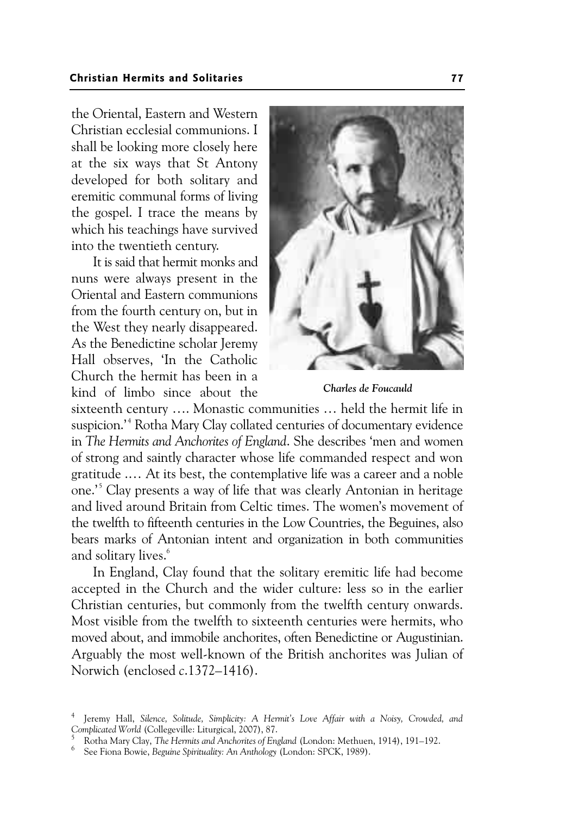the Oriental, Eastern and Western Christian ecclesial communions. I shall be looking more closely here at the six ways that St Antony developed for both solitary and eremitic communal forms of living the gospel. I trace the means by which his teachings have survived into the twentieth century.

It is said that hermit monks and nuns were always present in the Oriental and Eastern communions from the fourth century on, but in the West they nearly disappeared. As the Benedictine scholar Jeremy Hall observes, 'In the Catholic Church the hermit has been in a kind of limbo since about the



*Charles de Foucauld* 

sixteenth century …. Monastic communities … held the hermit life in suspicion.'<sup>4</sup> Rotha Mary Clay collated centuries of documentary evidence in *The Hermits and Anchorites of England*. She describes 'men and women of strong and saintly character whose life commanded respect and won gratitude .… At its best, the contemplative life was a career and a noble one.<sup>5</sup> Clay presents a way of life that was clearly Antonian in heritage and lived around Britain from Celtic times. The women's movement of the twelfth to fifteenth centuries in the Low Countries, the Beguines, also bears marks of Antonian intent and organization in both communities and solitary lives.<sup>6</sup>

In England, Clay found that the solitary eremitic life had become accepted in the Church and the wider culture: less so in the earlier Christian centuries, but commonly from the twelfth century onwards. Most visible from the twelfth to sixteenth centuries were hermits, who moved about, and immobile anchorites, often Benedictine or Augustinian. Arguably the most well-known of the British anchorites was Julian of Norwich (enclosed *c*.1372–1416).

<sup>4</sup> Jeremy Hall, *Silence, Solitude, Simplicity: A Hermit's Love Affair with a Noisy, Crowded, and Complicated World* (Collegeville: Liturgical, 2007), 87.

Rotha Mary Clay, *The Hermits and Anchorites of England* (London: Methuen, 1914), 191-192.

See Fiona Bowie, *Beguine Spirituality: An Anthology* (London: SPCK, 1989).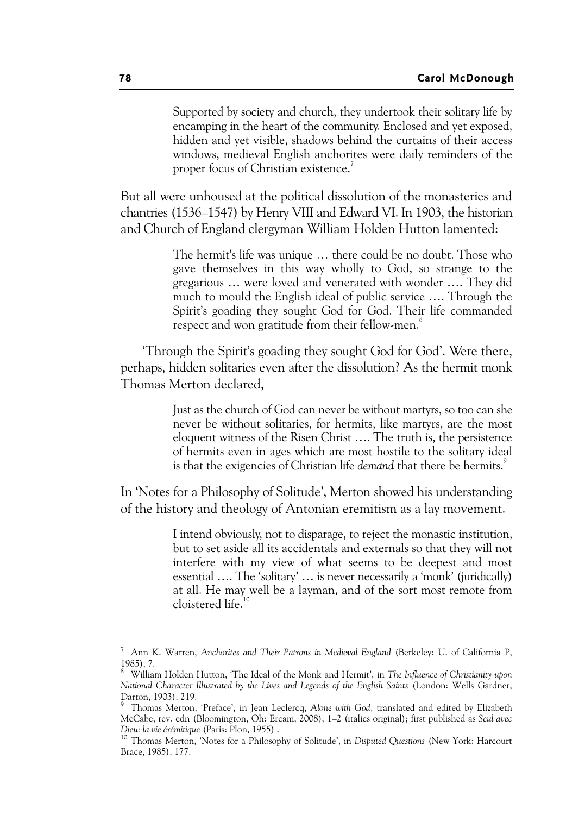Supported by society and church, they undertook their solitary life by encamping in the heart of the community. Enclosed and yet exposed, hidden and yet visible, shadows behind the curtains of their access windows, medieval English anchorites were daily reminders of the proper focus of Christian existence.<sup>7</sup>

But all were unhoused at the political dissolution of the monasteries and chantries (1536–1547) by Henry VIII and Edward VI. In 1903, the historian and Church of England clergyman William Holden Hutton lamented:

> The hermit's life was unique … there could be no doubt. Those who gave themselves in this way wholly to God, so strange to the gregarious … were loved and venerated with wonder …. They did much to mould the English ideal of public service …. Through the Spirit's goading they sought God for God. Their life commanded respect and won gratitude from their fellow-men.<sup>8</sup>

'Through the Spirit's goading they sought God for God'. Were there, perhaps, hidden solitaries even after the dissolution? As the hermit monk Thomas Merton declared,

> Just as the church of God can never be without martyrs, so too can she never be without solitaries, for hermits, like martyrs, are the most eloquent witness of the Risen Christ …. The truth is, the persistence of hermits even in ages which are most hostile to the solitary ideal is that the exigencies of Christian life *demand* that there be hermits.<sup>9</sup>

In 'Notes for a Philosophy of Solitude', Merton showed his understanding of the history and theology of Antonian eremitism as a lay movement.

> I intend obviously, not to disparage, to reject the monastic institution, but to set aside all its accidentals and externals so that they will not interfere with my view of what seems to be deepest and most essential …. The 'solitary' … is never necessarily a 'monk' (juridically) at all. He may well be a layman, and of the sort most remote from cloistered life.<sup>10</sup>

<sup>7</sup> Ann K. Warren, *Anchorites and Their Patrons in Medieval England* (Berkeley: U. of California P, 1985), 7.

<sup>8</sup> William Holden Hutton, 'The Ideal of the Monk and Hermit', in *The Influence of Christianity upon National Character Illustrated by the Lives and Legends of the English Saints* (London: Wells Gardner, Darton, 1903), 219.

<sup>9</sup> Thomas Merton, 'Preface', in Jean Leclercq, *Alone with God*, translated and edited by Elizabeth McCabe, rev. edn (Bloomington, Oh: Ercam, 2008), 1–2 (italics original); first published as *Seul avec Dieu: la vie érémitique* (Paris: Plon, 1955) .<br><sup>10</sup> Thomas Merton, 'Notes for a Philosophy of Solitude', in *Disputed Questions* (New York: Harcourt

Brace, 1985), 177.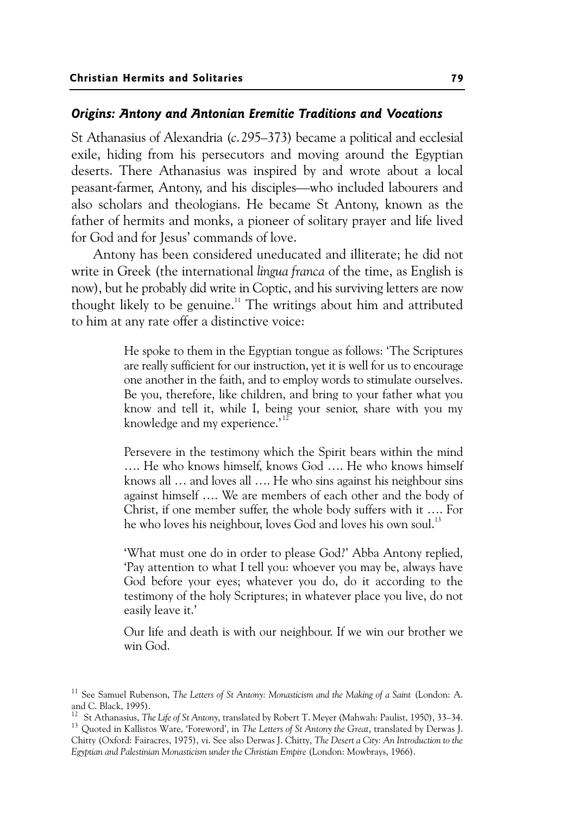## *Origins: Antony and Antonian Eremitic Traditions and Vocations*

St Athanasius of Alexandria (*c*.295–373) became a political and ecclesial exile, hiding from his persecutors and moving around the Egyptian deserts. There Athanasius was inspired by and wrote about a local peasant-farmer, Antony, and his disciples—who included labourers and also scholars and theologians. He became St Antony, known as the father of hermits and monks, a pioneer of solitary prayer and life lived for God and for Jesus' commands of love.

Antony has been considered uneducated and illiterate; he did not write in Greek (the international *lingua franca* of the time, as English is now), but he probably did write in Coptic, and his surviving letters are now thought likely to be genuine.<sup>11</sup> The writings about him and attributed to him at any rate offer a distinctive voice:

> He spoke to them in the Egyptian tongue as follows: 'The Scriptures are really sufficient for our instruction, yet it is well for us to encourage one another in the faith, and to employ words to stimulate ourselves. Be you, therefore, like children, and bring to your father what you know and tell it, while I, being your senior, share with you my knowledge and my experience.'<sup>12</sup>

> Persevere in the testimony which the Spirit bears within the mind …. He who knows himself, knows God …. He who knows himself knows all … and loves all …. He who sins against his neighbour sins against himself …. We are members of each other and the body of Christ, if one member suffer, the whole body suffers with it …. For he who loves his neighbour, loves God and loves his own soul.<sup>13</sup>

> 'What must one do in order to please God?' Abba Antony replied, 'Pay attention to what I tell you: whoever you may be, always have God before your eyes; whatever you do, do it according to the testimony of the holy Scriptures; in whatever place you live, do not easily leave it.'

> Our life and death is with our neighbour. If we win our brother we win God.

<sup>11</sup> See Samuel Rubenson, *The Letters of St Antony: Monasticism and the Making of a Saint* (London: A. and C. Black, 1995).<br><sup>12</sup> St Athanasius, The Life of St Antony, translated by Robert T. Meyer (Mahwah: Paulist, 1950), 33–34.

<sup>&</sup>lt;sup>13</sup> Quoted in Kallistos Ware, 'Foreword', in *The Letters of St Antony the Great*, translated by Derwas J. Chitty (Oxford: Fairacres, 1975), vi. See also Derwas J. Chitty, *The Desert a City: An Introduction to the Egyptian and Palestinian Monasticism under the Christian Empire* (London: Mowbrays, 1966).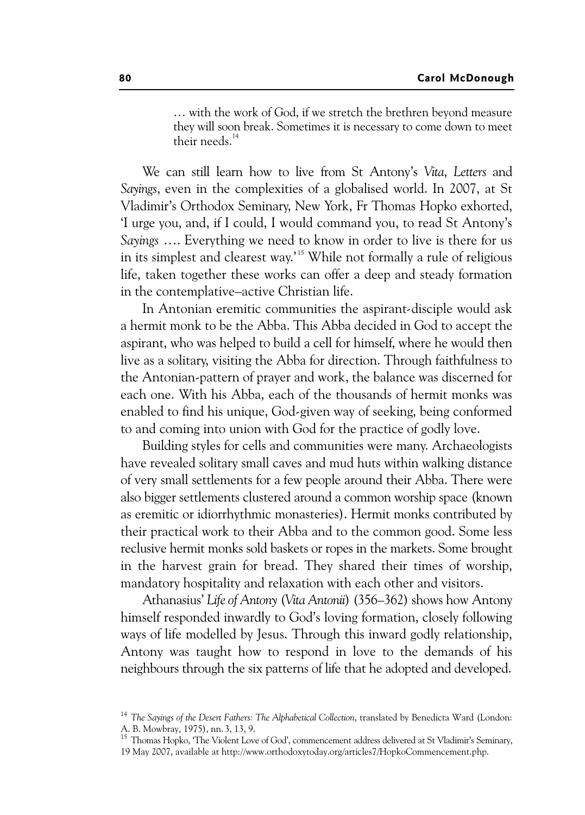… with the work of God, if we stretch the brethren beyond measure they will soon break. Sometimes it is necessary to come down to meet their needs.14

We can still learn how to live from St Antony's *Vita*, *Letters* and *Sayings*, even in the complexities of a globalised world. In 2007, at St Vladimir's Orthodox Seminary, New York, Fr Thomas Hopko exhorted, 'I urge you, and, if I could, I would command you, to read St Antony's *Sayings* …. Everything we need to know in order to live is there for us in its simplest and clearest way.<sup>15</sup> While not formally a rule of religious life, taken together these works can offer a deep and steady formation in the contemplative–active Christian life.

In Antonian eremitic communities the aspirant-disciple would ask a hermit monk to be the Abba. This Abba decided in God to accept the aspirant, who was helped to build a cell for himself, where he would then live as a solitary, visiting the Abba for direction. Through faithfulness to the Antonian-pattern of prayer and work, the balance was discerned for each one. With his Abba, each of the thousands of hermit monks was enabled to find his unique, God-given way of seeking, being conformed to and coming into union with God for the practice of godly love.

Building styles for cells and communities were many. Archaeologists have revealed solitary small caves and mud huts within walking distance of very small settlements for a few people around their Abba. There were also bigger settlements clustered around a common worship space (known as eremitic or idiorrhythmic monasteries). Hermit monks contributed by their practical work to their Abba and to the common good. Some less reclusive hermit monks sold baskets or ropes in the markets. Some brought in the harvest grain for bread. They shared their times of worship, mandatory hospitality and relaxation with each other and visitors.

Athanasius' *Life of Antony* (*Vita Antonii*) (356–362) shows how Antony himself responded inwardly to God's loving formation, closely following ways of life modelled by Jesus. Through this inward godly relationship, Antony was taught how to respond in love to the demands of his neighbours through the six patterns of life that he adopted and developed.

<sup>15</sup> Thomas Hopko, 'The Violent Love of God', commencement address delivered at St Vladimir's Seminary, 19 May 2007, available at http://www.orthodoxytoday.org/articles7/HopkoCommencement.php.

<sup>14</sup> *The Sayings of the Desert Fathers: The Alphabetical Collection*, translated by Benedicta Ward (London: A. B. Mowbray, 1975), nn. 3, 13, 9.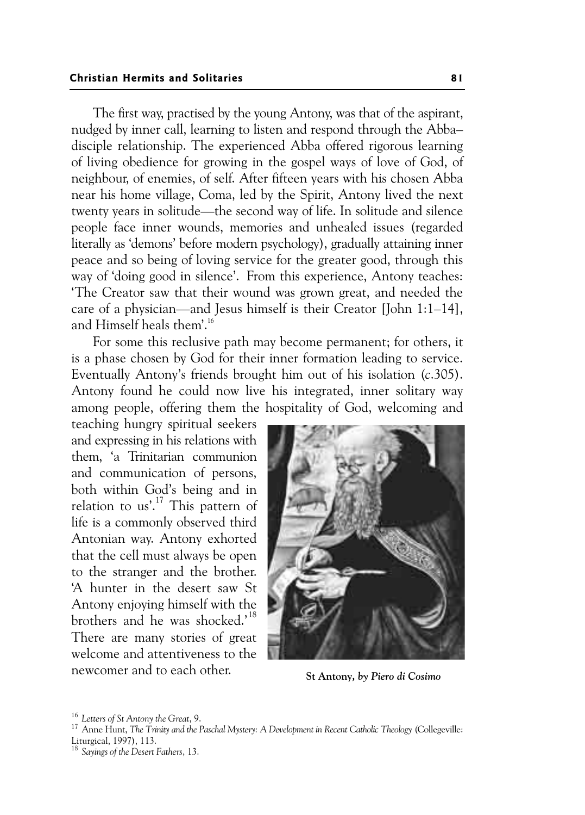The first way, practised by the young Antony, was that of the aspirant, nudged by inner call, learning to listen and respond through the Abba– disciple relationship. The experienced Abba offered rigorous learning of living obedience for growing in the gospel ways of love of God, of neighbour, of enemies, of self. After fifteen years with his chosen Abba near his home village, Coma, led by the Spirit, Antony lived the next twenty years in solitude—the second way of life. In solitude and silence people face inner wounds, memories and unhealed issues (regarded literally as 'demons' before modern psychology), gradually attaining inner peace and so being of loving service for the greater good, through this way of 'doing good in silence'. From this experience, Antony teaches: 'The Creator saw that their wound was grown great, and needed the care of a physician—and Jesus himself is their Creator [John 1:1–14], and Himself heals them'.<sup>16</sup>

For some this reclusive path may become permanent; for others, it is a phase chosen by God for their inner formation leading to service. Eventually Antony's friends brought him out of his isolation (*c*.305). Antony found he could now live his integrated, inner solitary way among people, offering them the hospitality of God, welcoming and

teaching hungry spiritual seekers and expressing in his relations with them, 'a Trinitarian communion and communication of persons, both within God's being and in relation to us'.<sup>17</sup> This pattern of life is a commonly observed third Antonian way. Antony exhorted that the cell must always be open to the stranger and the brother. 'A hunter in the desert saw St Antony enjoying himself with the brothers and he was shocked.'<sup>18</sup> There are many stories of great welcome and attentiveness to the newcomer and to each other.



**St Antony***, by Piero di Cosimo* 

<sup>&</sup>lt;sup>16</sup> Letters of St Antony the Great, 9.<br><sup>17</sup> Anne Hunt, *The Trinity and the Paschal Mystery: A Development in Recent Catholic Theology (Collegeville:* Liturgical, 1997), 113.

<sup>18</sup> *Sayings of the Desert Fathers*, 13.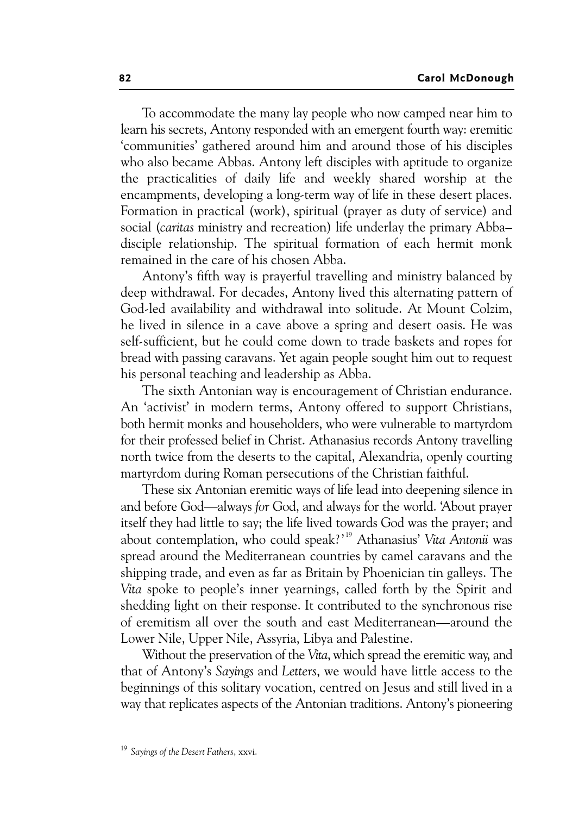To accommodate the many lay people who now camped near him to learn his secrets, Antony responded with an emergent fourth way: eremitic 'communities' gathered around him and around those of his disciples who also became Abbas. Antony left disciples with aptitude to organize the practicalities of daily life and weekly shared worship at the encampments, developing a long-term way of life in these desert places. Formation in practical (work), spiritual (prayer as duty of service) and social (*caritas* ministry and recreation) life underlay the primary Abba– disciple relationship. The spiritual formation of each hermit monk remained in the care of his chosen Abba.

Antony's fifth way is prayerful travelling and ministry balanced by deep withdrawal. For decades, Antony lived this alternating pattern of God-led availability and withdrawal into solitude. At Mount Colzim, he lived in silence in a cave above a spring and desert oasis. He was self-sufficient, but he could come down to trade baskets and ropes for bread with passing caravans. Yet again people sought him out to request his personal teaching and leadership as Abba.

The sixth Antonian way is encouragement of Christian endurance. An 'activist' in modern terms, Antony offered to support Christians, both hermit monks and householders, who were vulnerable to martyrdom for their professed belief in Christ. Athanasius records Antony travelling north twice from the deserts to the capital, Alexandria, openly courting martyrdom during Roman persecutions of the Christian faithful.

These six Antonian eremitic ways of life lead into deepening silence in and before God—always *for* God, and always for the world. 'About prayer itself they had little to say; the life lived towards God was the prayer; and about contemplation, who could speak?' 19 Athanasius' *Vita Antonii* was spread around the Mediterranean countries by camel caravans and the shipping trade, and even as far as Britain by Phoenician tin galleys. The *Vita* spoke to people's inner yearnings, called forth by the Spirit and shedding light on their response. It contributed to the synchronous rise of eremitism all over the south and east Mediterranean—around the Lower Nile, Upper Nile, Assyria, Libya and Palestine.

Without the preservation of the *Vita*, which spread the eremitic way, and that of Antony's *Sayings* and *Letters*, we would have little access to the beginnings of this solitary vocation, centred on Jesus and still lived in a way that replicates aspects of the Antonian traditions. Antony's pioneering

<sup>19</sup> *Sayings of the Desert Fathers*, xxvi.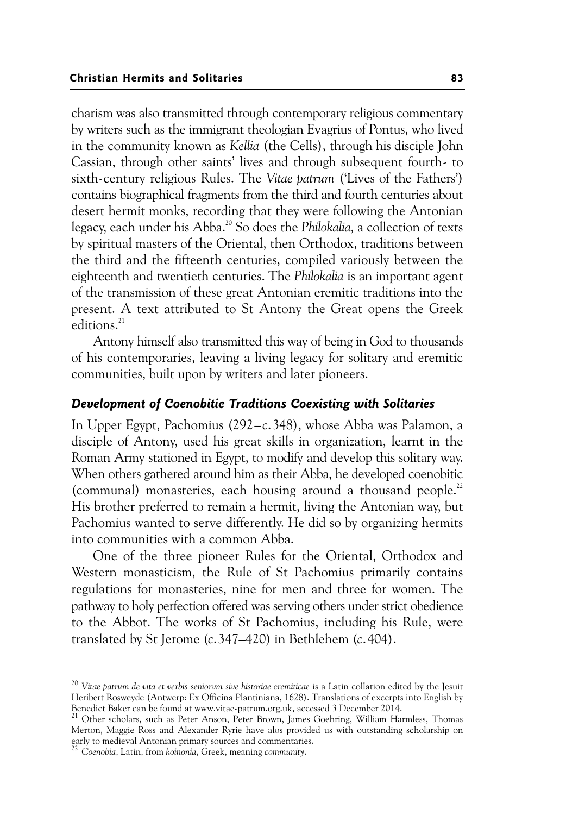charism was also transmitted through contemporary religious commentary by writers such as the immigrant theologian Evagrius of Pontus, who lived in the community known as *Kellia* (the Cells), through his disciple John Cassian, through other saints' lives and through subsequent fourth- to sixth-century religious Rules. The *Vitae patrum* ('Lives of the Fathers') contains biographical fragments from the third and fourth centuries about desert hermit monks, recording that they were following the Antonian legacy, each under his Abba.20 So does the *Philokalia,* a collection of texts by spiritual masters of the Oriental, then Orthodox, traditions between the third and the fifteenth centuries, compiled variously between the eighteenth and twentieth centuries. The *Philokalia* is an important agent of the transmission of these great Antonian eremitic traditions into the present. A text attributed to St Antony the Great opens the Greek editions.<sup>21</sup>

Antony himself also transmitted this way of being in God to thousands of his contemporaries, leaving a living legacy for solitary and eremitic communities, built upon by writers and later pioneers.

## *Development of Coenobitic Traditions Coexisting with Solitaries*

In Upper Egypt, Pachomius (292–*c*.348), whose Abba was Palamon, a disciple of Antony, used his great skills in organization, learnt in the Roman Army stationed in Egypt, to modify and develop this solitary way. When others gathered around him as their Abba, he developed coenobitic (communal) monasteries, each housing around a thousand people.<sup>22</sup> His brother preferred to remain a hermit, living the Antonian way, but Pachomius wanted to serve differently. He did so by organizing hermits into communities with a common Abba.

One of the three pioneer Rules for the Oriental, Orthodox and Western monasticism, the Rule of St Pachomius primarily contains regulations for monasteries, nine for men and three for women. The pathway to holy perfection offered was serving others under strict obedience to the Abbot. The works of St Pachomius, including his Rule, were translated by St Jerome (*c*.347–420) in Bethlehem (*c*.404).

<sup>22</sup> *Coenobia*, Latin, from *koinonia*, Greek, meaning *community*.

<sup>20</sup> *Vitae patrum de vita et verbis* s*eniorvm sive historiae eremiticae* is a Latin collation edited by the Jesuit Heribert Rosweyde (Antwerp: Ex Officina Plantiniana, 1628). Translations of excerpts into English by Benedict Baker can be found at www.vitae-patrum.org.uk, accessed 3 December 2014.

<sup>&</sup>lt;sup>21</sup> Other scholars, such as Peter Anson, Peter Brown, James Goehring, William Harmless, Thomas Merton, Maggie Ross and Alexander Ryrie have alos provided us with outstanding scholarship on early to medieval Antonian primary sources and commentaries.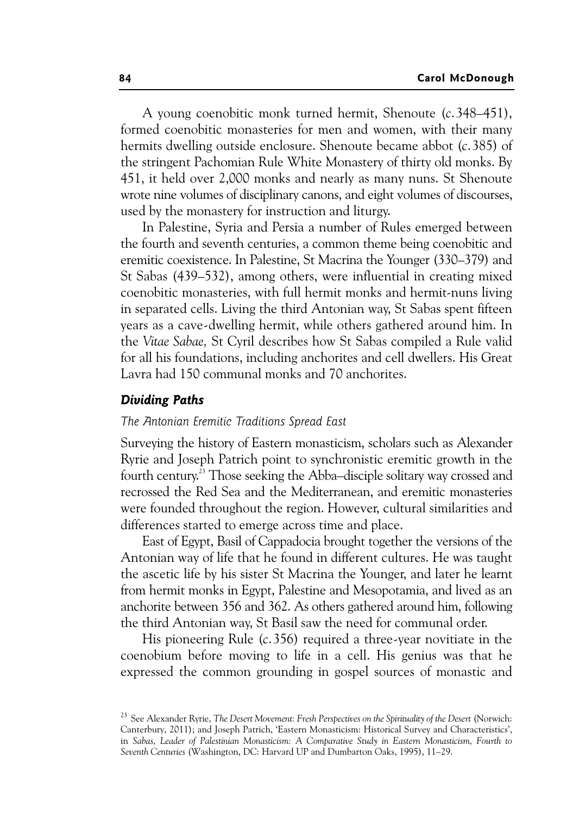A young coenobitic monk turned hermit, Shenoute (*c*.348–451), formed coenobitic monasteries for men and women, with their many hermits dwelling outside enclosure. Shenoute became abbot (*c*.385) of the stringent Pachomian Rule White Monastery of thirty old monks. By 451, it held over 2,000 monks and nearly as many nuns. St Shenoute wrote nine volumes of disciplinary canons, and eight volumes of discourses, used by the monastery for instruction and liturgy.

In Palestine, Syria and Persia a number of Rules emerged between the fourth and seventh centuries, a common theme being coenobitic and eremitic coexistence. In Palestine, St Macrina the Younger (330–379) and St Sabas (439–532), among others, were influential in creating mixed coenobitic monasteries, with full hermit monks and hermit-nuns living in separated cells. Living the third Antonian way, St Sabas spent fifteen years as a cave-dwelling hermit, while others gathered around him. In the *Vitae Sabae,* St Cyril describes how St Sabas compiled a Rule valid for all his foundations, including anchorites and cell dwellers. His Great Lavra had 150 communal monks and 70 anchorites.

#### *Dividing Paths*

#### *The Antonian Eremitic Traditions Spread East*

Surveying the history of Eastern monasticism, scholars such as Alexander Ryrie and Joseph Patrich point to synchronistic eremitic growth in the fourth century.<sup>23</sup> Those seeking the Abba–disciple solitary way crossed and recrossed the Red Sea and the Mediterranean, and eremitic monasteries were founded throughout the region. However, cultural similarities and differences started to emerge across time and place.

East of Egypt, Basil of Cappadocia brought together the versions of the Antonian way of life that he found in different cultures. He was taught the ascetic life by his sister St Macrina the Younger, and later he learnt from hermit monks in Egypt, Palestine and Mesopotamia, and lived as an anchorite between 356 and 362. As others gathered around him, following the third Antonian way, St Basil saw the need for communal order.

His pioneering Rule (*c*.356) required a three-year novitiate in the coenobium before moving to life in a cell. His genius was that he expressed the common grounding in gospel sources of monastic and

<sup>23</sup> See Alexander Ryrie, *The Desert Movement: Fresh Perspectives on the Spirituality of the Desert* (Norwich: Canterbury, 2011); and Joseph Patrich, 'Eastern Monasticism: Historical Survey and Characteristics', in *Sabas, Leader of Palestinian Monasticism: A Comparative Study in Eastern Monasticism, Fourth to Seventh Centuries* (Washington, DC: Harvard UP and Dumbarton Oaks, 1995), 11–29.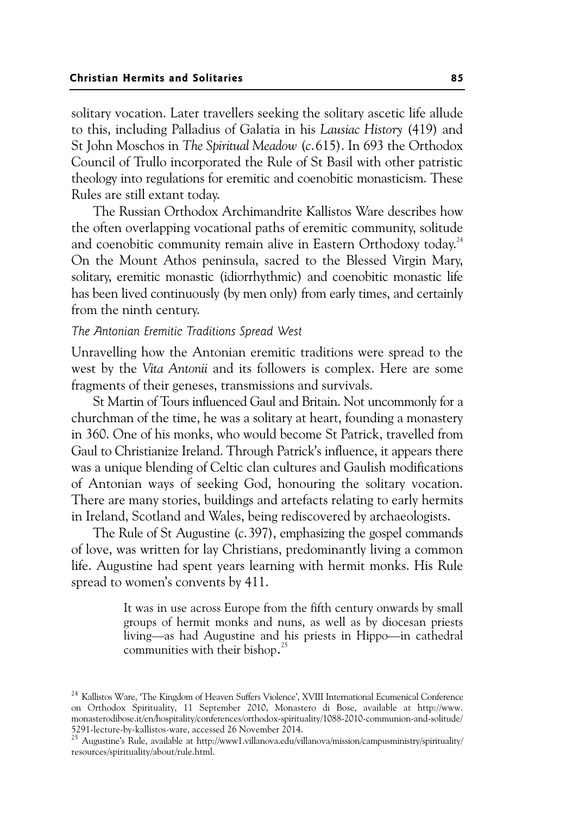solitary vocation. Later travellers seeking the solitary ascetic life allude to this, including Palladius of Galatia in his *Lausiac History* (419) and St John Moschos in *The Spiritual Meadow* (*c*.615). In 693 the Orthodox Council of Trullo incorporated the Rule of St Basil with other patristic theology into regulations for eremitic and coenobitic monasticism. These Rules are still extant today.

The Russian Orthodox Archimandrite Kallistos Ware describes how the often overlapping vocational paths of eremitic community, solitude and coenobitic community remain alive in Eastern Orthodoxy today.<sup>24</sup> On the Mount Athos peninsula, sacred to the Blessed Virgin Mary, solitary, eremitic monastic (idiorrhythmic) and coenobitic monastic life has been lived continuously (by men only) from early times, and certainly from the ninth century.

#### *The Antonian Eremitic Traditions Spread West*

Unravelling how the Antonian eremitic traditions were spread to the west by the *Vita Antonii* and its followers is complex. Here are some fragments of their geneses, transmissions and survivals.

St Martin of Tours influenced Gaul and Britain. Not uncommonly for a churchman of the time, he was a solitary at heart, founding a monastery in 360. One of his monks, who would become St Patrick, travelled from Gaul to Christianize Ireland. Through Patrick's influence, it appears there was a unique blending of Celtic clan cultures and Gaulish modifications of Antonian ways of seeking God, honouring the solitary vocation. There are many stories, buildings and artefacts relating to early hermits in Ireland, Scotland and Wales, being rediscovered by archaeologists.

The Rule of St Augustine (*c*.397), emphasizing the gospel commands of love, was written for lay Christians, predominantly living a common life. Augustine had spent years learning with hermit monks. His Rule spread to women's convents by 411.

> It was in use across Europe from the fifth century onwards by small groups of hermit monks and nuns, as well as by diocesan priests living—as had Augustine and his priests in Hippo—in cathedral communities with their bishop. 25

<sup>&</sup>lt;sup>24</sup> Kallistos Ware, 'The Kingdom of Heaven Suffers Violence', XVIII International Ecumenical Conference on Orthodox Spirituality, 11 September 2010, Monastero di Bose, available at http://www. monasterodibose.it/en/hospitality/conferences/orthodox-spirituality/1088-2010-communion-and-solitude/ 5291-lecture-by-kallistos-ware, accessed 26 November 2014.

<sup>25</sup> Augustine's Rule, available at http://www1.villanova.edu/villanova/mission/campusministry/spirituality/ resources/spirituality/about/rule.html.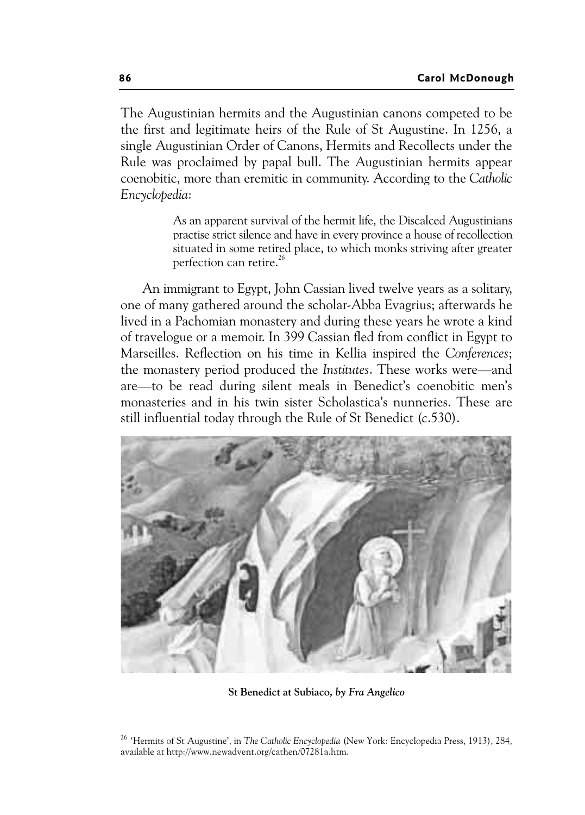The Augustinian hermits and the Augustinian canons competed to be the first and legitimate heirs of the Rule of St Augustine. In 1256, a single Augustinian Order of Canons, Hermits and Recollects under the Rule was proclaimed by papal bull. The Augustinian hermits appear coenobitic, more than eremitic in community. According to the *Catholic Encyclopedia*:

> As an apparent survival of the hermit life, the Discalced Augustinians practise strict silence and have in every province a house of recollection situated in some retired place, to which monks striving after greater perfection can retire.<sup>26</sup>

An immigrant to Egypt, John Cassian lived twelve years as a solitary, one of many gathered around the scholar-Abba Evagrius; afterwards he lived in a Pachomian monastery and during these years he wrote a kind of travelogue or a memoir. In 399 Cassian fled from conflict in Egypt to Marseilles. Reflection on his time in Kellia inspired the *Conferences*; the monastery period produced the *Institutes*. These works were—and are—to be read during silent meals in Benedict's coenobitic men's monasteries and in his twin sister Scholastica's nunneries. These are still influential today through the Rule of St Benedict (*c*.530).



**St Benedict at Subiaco***, by Fra Angelico* 

<sup>26 &#</sup>x27;Hermits of St Augustine', in *The Catholic Encyclopedia* (New York: Encyclopedia Press, 1913), 284, available at http://www.newadvent.org/cathen/07281a.htm.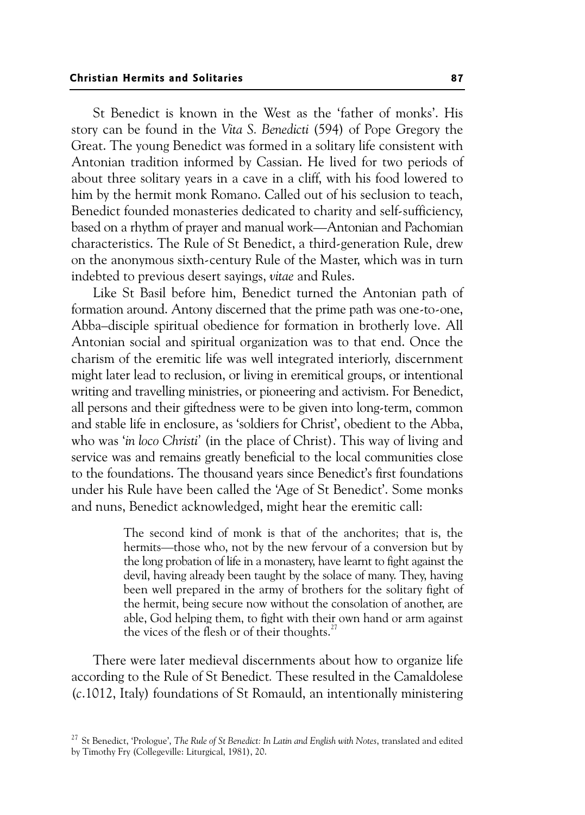St Benedict is known in the West as the 'father of monks'. His story can be found in the *Vita S. Benedicti* (594) of Pope Gregory the Great. The young Benedict was formed in a solitary life consistent with Antonian tradition informed by Cassian. He lived for two periods of about three solitary years in a cave in a cliff, with his food lowered to him by the hermit monk Romano. Called out of his seclusion to teach, Benedict founded monasteries dedicated to charity and self-sufficiency, based on a rhythm of prayer and manual work—Antonian and Pachomian characteristics. The Rule of St Benedict, a third-generation Rule, drew on the anonymous sixth-century Rule of the Master, which was in turn indebted to previous desert sayings, *vitae* and Rules.

Like St Basil before him, Benedict turned the Antonian path of formation around. Antony discerned that the prime path was one-to-one, Abba–disciple spiritual obedience for formation in brotherly love. All Antonian social and spiritual organization was to that end. Once the charism of the eremitic life was well integrated interiorly, discernment might later lead to reclusion, or living in eremitical groups, or intentional writing and travelling ministries, or pioneering and activism. For Benedict, all persons and their giftedness were to be given into long-term, common and stable life in enclosure, as 'soldiers for Christ', obedient to the Abba, who was '*in loco Christi'* (in the place of Christ). This way of living and service was and remains greatly beneficial to the local communities close to the foundations. The thousand years since Benedict's first foundations under his Rule have been called the 'Age of St Benedict'. Some monks and nuns, Benedict acknowledged, might hear the eremitic call:

> The second kind of monk is that of the anchorites; that is, the hermits—those who, not by the new fervour of a conversion but by the long probation of life in a monastery, have learnt to fight against the devil, having already been taught by the solace of many. They, having been well prepared in the army of brothers for the solitary fight of the hermit, being secure now without the consolation of another, are able, God helping them, to fight with their own hand or arm against the vices of the flesh or of their thoughts.<sup>27</sup>

There were later medieval discernments about how to organize life according to the Rule of St Benedict*.* These resulted in the Camaldolese (*c*.1012, Italy) foundations of St Romauld, an intentionally ministering

<sup>27</sup> St Benedict, 'Prologue', *The Rule of St Benedict: In Latin and English with Notes*, translated and edited by Timothy Fry (Collegeville: Liturgical, 1981), 20.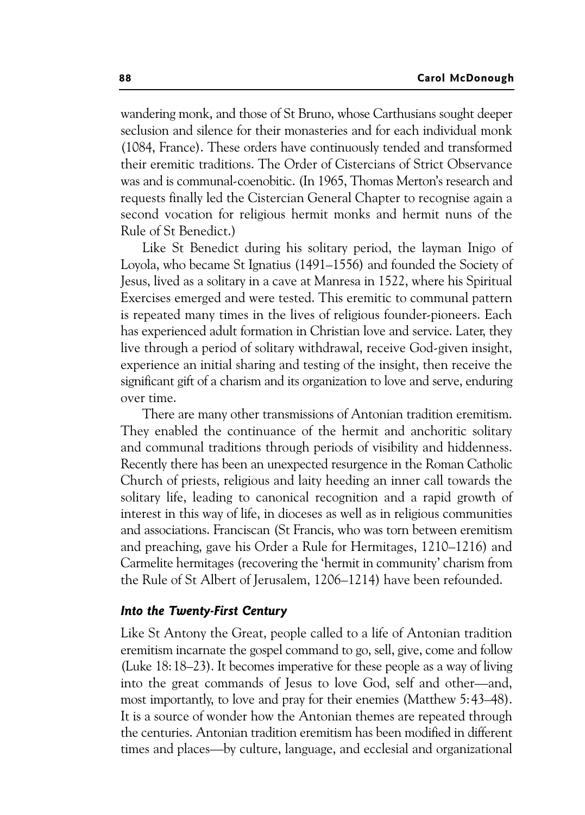wandering monk, and those of St Bruno, whose Carthusians sought deeper seclusion and silence for their monasteries and for each individual monk (1084, France). These orders have continuously tended and transformed their eremitic traditions. The Order of Cistercians of Strict Observance was and is communal-coenobitic. (In 1965, Thomas Merton's research and requests finally led the Cistercian General Chapter to recognise again a second vocation for religious hermit monks and hermit nuns of the Rule of St Benedict.)

Like St Benedict during his solitary period, the layman Inigo of Loyola, who became St Ignatius (1491–1556) and founded the Society of Jesus, lived as a solitary in a cave at Manresa in 1522, where his Spiritual Exercises emerged and were tested. This eremitic to communal pattern is repeated many times in the lives of religious founder-pioneers. Each has experienced adult formation in Christian love and service. Later, they live through a period of solitary withdrawal, receive God-given insight, experience an initial sharing and testing of the insight, then receive the significant gift of a charism and its organization to love and serve, enduring over time.

There are many other transmissions of Antonian tradition eremitism. They enabled the continuance of the hermit and anchoritic solitary and communal traditions through periods of visibility and hiddenness. Recently there has been an unexpected resurgence in the Roman Catholic Church of priests, religious and laity heeding an inner call towards the solitary life, leading to canonical recognition and a rapid growth of interest in this way of life, in dioceses as well as in religious communities and associations. Franciscan (St Francis, who was torn between eremitism and preaching, gave his Order a Rule for Hermitages, 1210–1216) and Carmelite hermitages (recovering the 'hermit in community' charism from the Rule of St Albert of Jerusalem, 1206–1214) have been refounded.

## *Into the Twenty-First Century*

Like St Antony the Great, people called to a life of Antonian tradition eremitism incarnate the gospel command to go, sell, give, come and follow (Luke 18:18–23). It becomes imperative for these people as a way of living into the great commands of Jesus to love God, self and other—and, most importantly, to love and pray for their enemies (Matthew 5:43–48). It is a source of wonder how the Antonian themes are repeated through the centuries. Antonian tradition eremitism has been modified in different times and places—by culture, language, and ecclesial and organizational